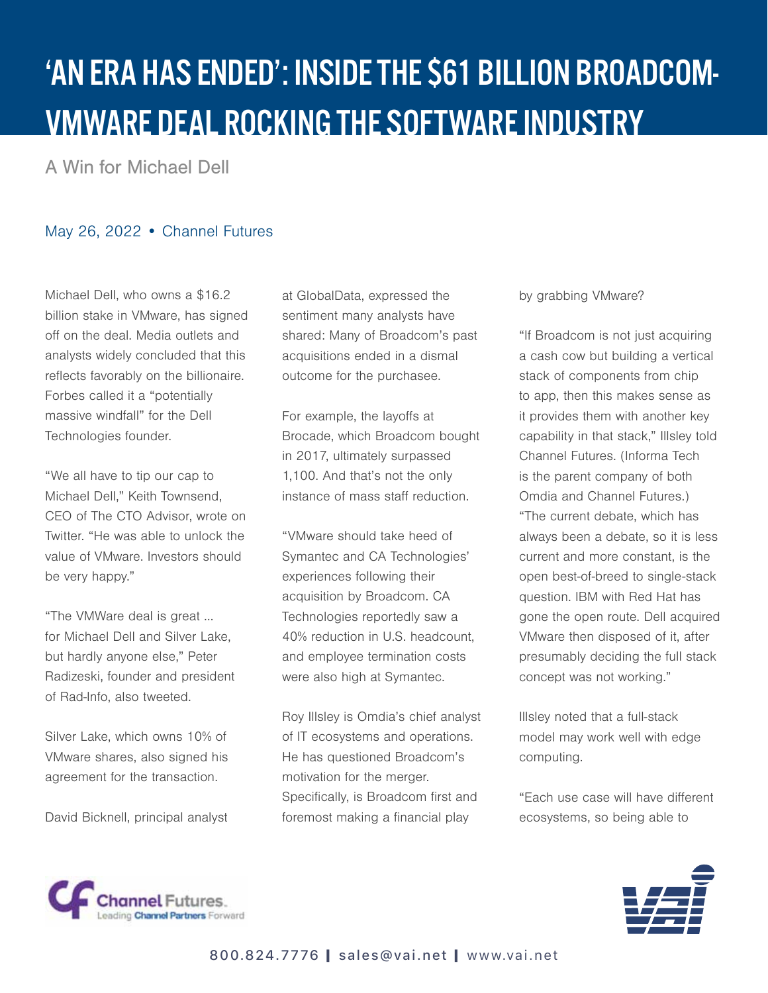## 'AN ERA HAS ENDED': INSIDE THE \$61 BILLION BROADCOM-VMWARE DEAL ROCKING THE SOFTWARE INDUSTRY

A Win for Michael Dell

## May 26, 2022 • Channel Futures

Michael Dell, who owns a \$16.2 billion stake in VMware, has signed off on the deal. Media outlets and analysts widely concluded that this reflects favorably on the billionaire. Forbes called it a "potentially massive windfall" for the Dell Technologies founder.

"We all have to tip our cap to Michael Dell," Keith Townsend, CEO of The CTO Advisor, wrote on Twitter. "He was able to unlock the value of VMware. Investors should be very happy."

"The VMWare deal is great … for Michael Dell and Silver Lake, but hardly anyone else," Peter Radizeski, founder and president of Rad-Info, also tweeted.

Silver Lake, which owns 10% of VMware shares, also signed his agreement for the transaction.

David Bicknell, principal analyst

at GlobalData, expressed the sentiment many analysts have shared: Many of Broadcom's past acquisitions ended in a dismal outcome for the purchasee.

For example, the layoffs at Brocade, which Broadcom bought in 2017, ultimately surpassed 1,100. And that's not the only instance of mass staff reduction.

"VMware should take heed of Symantec and CA Technologies' experiences following their acquisition by Broadcom. CA Technologies reportedly saw a 40% reduction in U.S. headcount, and employee termination costs were also high at Symantec.

Roy Illsley is Omdia's chief analyst of IT ecosystems and operations. He has questioned Broadcom's motivation for the merger. Specifically, is Broadcom first and foremost making a financial play

## by grabbing VMware?

"If Broadcom is not just acquiring a cash cow but building a vertical stack of components from chip to app, then this makes sense as it provides them with another key capability in that stack," Illsley told Channel Futures. (Informa Tech is the parent company of both Omdia and Channel Futures.) "The current debate, which has always been a debate, so it is less current and more constant, is the open best-of-breed to single-stack question. IBM with Red Hat has gone the open route. Dell acquired VMware then disposed of it, after presumably deciding the full stack concept was not working."

Illsley noted that a full-stack model may work well with edge computing.

"Each use case will have different ecosystems, so being able to



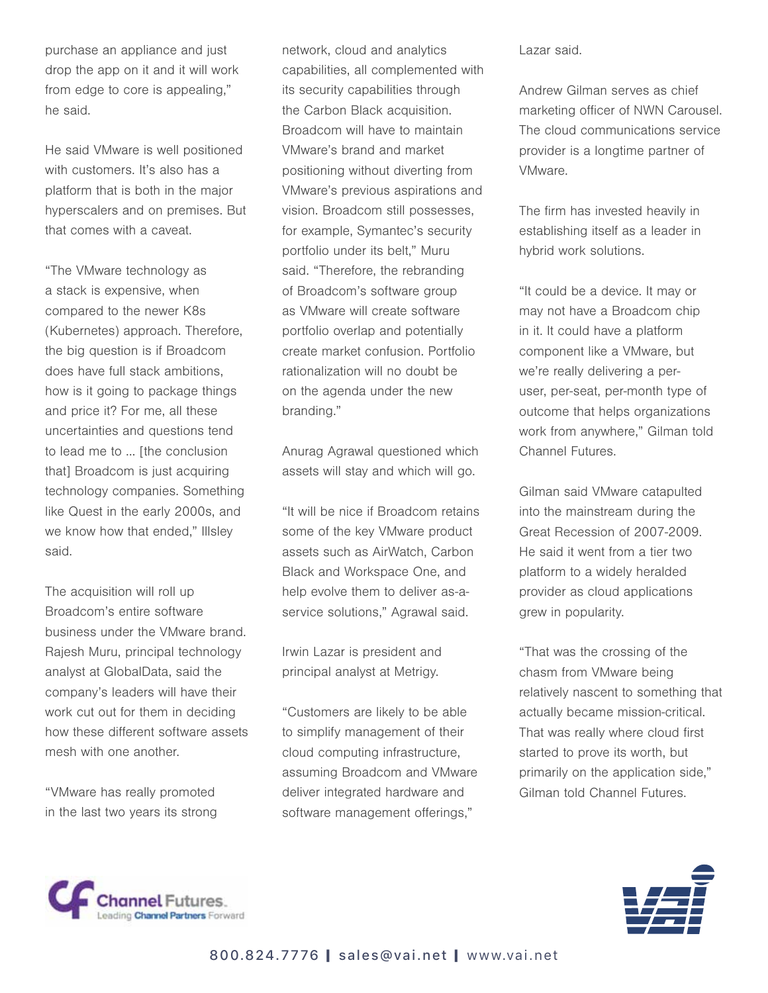purchase an appliance and just drop the app on it and it will work from edge to core is appealing," he said.

He said VMware is well positioned with customers. It's also has a platform that is both in the major hyperscalers and on premises. But that comes with a caveat.

"The VMware technology as a stack is expensive, when compared to the newer K8s (Kubernetes) approach. Therefore, the big question is if Broadcom does have full stack ambitions, how is it going to package things and price it? For me, all these uncertainties and questions tend to lead me to … [the conclusion that] Broadcom is just acquiring technology companies. Something like Quest in the early 2000s, and we know how that ended," Illsley said.

The acquisition will roll up Broadcom's entire software business under the VMware brand. Rajesh Muru, principal technology analyst at GlobalData, said the company's leaders will have their work cut out for them in deciding how these different software assets mesh with one another.

"VMware has really promoted in the last two years its strong network, cloud and analytics capabilities, all complemented with its security capabilities through the Carbon Black acquisition. Broadcom will have to maintain VMware's brand and market positioning without diverting from VMware's previous aspirations and vision. Broadcom still possesses, for example, Symantec's security portfolio under its belt," Muru said. "Therefore, the rebranding of Broadcom's software group as VMware will create software portfolio overlap and potentially create market confusion. Portfolio rationalization will no doubt be on the agenda under the new branding."

Anurag Agrawal questioned which assets will stay and which will go.

"It will be nice if Broadcom retains some of the key VMware product assets such as AirWatch, Carbon Black and Workspace One, and help evolve them to deliver as-aservice solutions," Agrawal said.

Irwin Lazar is president and principal analyst at Metrigy.

"Customers are likely to be able to simplify management of their cloud computing infrastructure, assuming Broadcom and VMware deliver integrated hardware and software management offerings,"

Lazar said.

Andrew Gilman serves as chief marketing officer of NWN Carousel. The cloud communications service provider is a longtime partner of VMware.

The firm has invested heavily in establishing itself as a leader in hybrid work solutions.

"It could be a device. It may or may not have a Broadcom chip in it. It could have a platform component like a VMware, but we're really delivering a peruser, per-seat, per-month type of outcome that helps organizations work from anywhere," Gilman told Channel Futures.

Gilman said VMware catapulted into the mainstream during the Great Recession of 2007-2009. He said it went from a tier two platform to a widely heralded provider as cloud applications grew in popularity.

"That was the crossing of the chasm from VMware being relatively nascent to something that actually became mission-critical. That was really where cloud first started to prove its worth, but primarily on the application side," Gilman told Channel Futures.



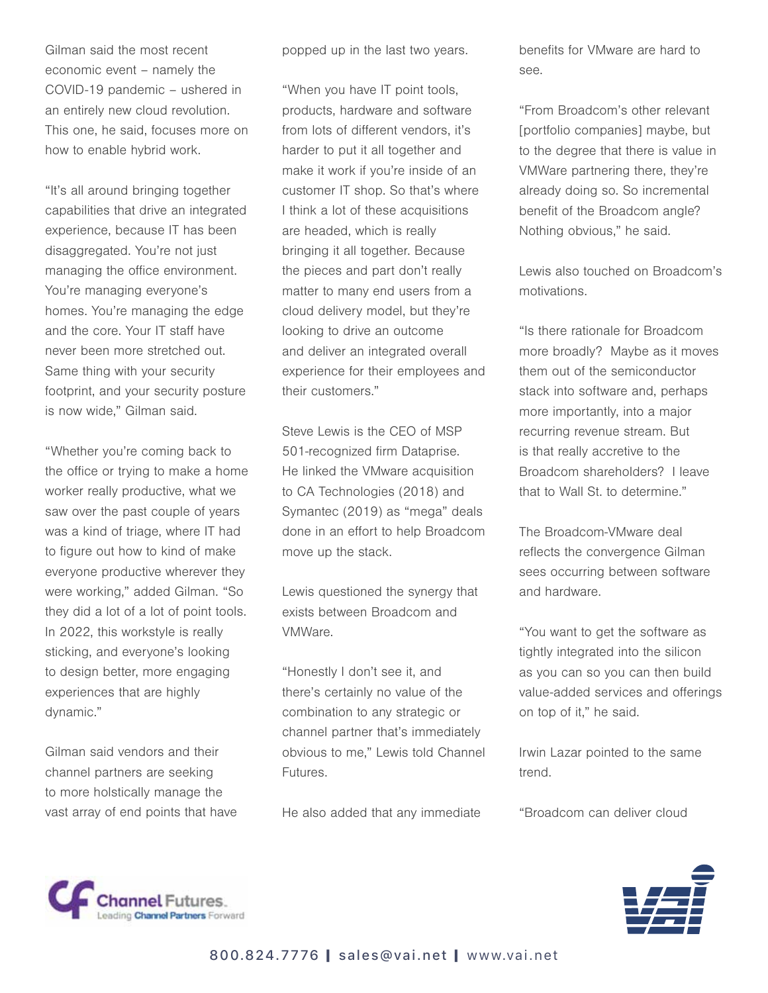Gilman said the most recent economic event – namely the COVID-19 pandemic – ushered in an entirely new cloud revolution. This one, he said, focuses more on how to enable hybrid work.

"It's all around bringing together capabilities that drive an integrated experience, because IT has been disaggregated. You're not just managing the office environment. You're managing everyone's homes. You're managing the edge and the core. Your IT staff have never been more stretched out. Same thing with your security footprint, and your security posture is now wide," Gilman said.

"Whether you're coming back to the office or trying to make a home worker really productive, what we saw over the past couple of years was a kind of triage, where IT had to figure out how to kind of make everyone productive wherever they were working," added Gilman. "So they did a lot of a lot of point tools. In 2022, this workstyle is really sticking, and everyone's looking to design better, more engaging experiences that are highly dynamic."

Gilman said vendors and their channel partners are seeking to more holstically manage the vast array of end points that have popped up in the last two years.

"When you have IT point tools, products, hardware and software from lots of different vendors, it's harder to put it all together and make it work if you're inside of an customer IT shop. So that's where I think a lot of these acquisitions are headed, which is really bringing it all together. Because the pieces and part don't really matter to many end users from a cloud delivery model, but they're looking to drive an outcome and deliver an integrated overall experience for their employees and their customers."

Steve Lewis is the CEO of MSP 501-recognized firm Dataprise. He linked the VMware acquisition to CA Technologies (2018) and Symantec (2019) as "mega" deals done in an effort to help Broadcom move up the stack.

Lewis questioned the synergy that exists between Broadcom and VMWare.

"Honestly I don't see it, and there's certainly no value of the combination to any strategic or channel partner that's immediately obvious to me," Lewis told Channel Futures.

He also added that any immediate

benefits for VMware are hard to see.

"From Broadcom's other relevant [portfolio companies] maybe, but to the degree that there is value in VMWare partnering there, they're already doing so. So incremental benefit of the Broadcom angle? Nothing obvious," he said.

Lewis also touched on Broadcom's motivations.

"Is there rationale for Broadcom more broadly? Maybe as it moves them out of the semiconductor stack into software and, perhaps more importantly, into a major recurring revenue stream. But is that really accretive to the Broadcom shareholders? I leave that to Wall St. to determine."

The Broadcom-VMware deal reflects the convergence Gilman sees occurring between software and hardware.

"You want to get the software as tightly integrated into the silicon as you can so you can then build value-added services and offerings on top of it," he said.

Irwin Lazar pointed to the same trend.

"Broadcom can deliver cloud



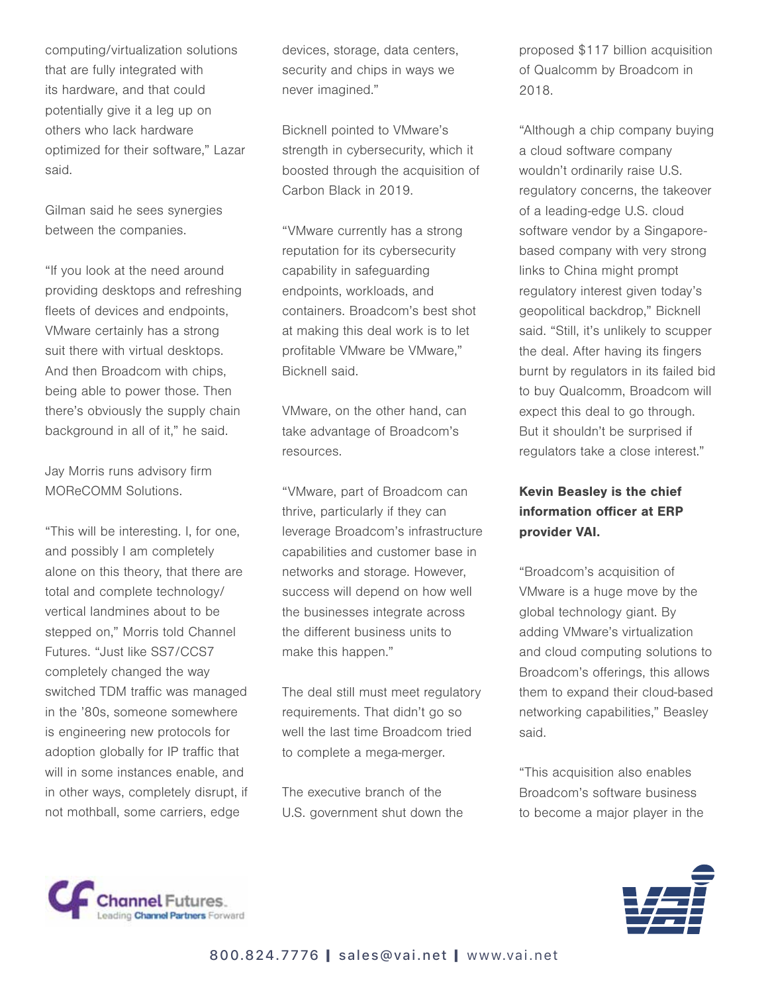computing/virtualization solutions that are fully integrated with its hardware, and that could potentially give it a leg up on others who lack hardware optimized for their software," Lazar said.

Gilman said he sees synergies between the companies.

"If you look at the need around providing desktops and refreshing fleets of devices and endpoints, VMware certainly has a strong suit there with virtual desktops. And then Broadcom with chips, being able to power those. Then there's obviously the supply chain background in all of it," he said.

Jay Morris runs advisory firm MOReCOMM Solutions.

"This will be interesting. I, for one, and possibly I am completely alone on this theory, that there are total and complete technology/ vertical landmines about to be stepped on," Morris told Channel Futures. "Just like SS7/CCS7 completely changed the way switched TDM traffic was managed in the '80s, someone somewhere is engineering new protocols for adoption globally for IP traffic that will in some instances enable, and in other ways, completely disrupt, if not mothball, some carriers, edge

devices, storage, data centers, security and chips in ways we never imagined."

Bicknell pointed to VMware's strength in cybersecurity, which it boosted through the acquisition of Carbon Black in 2019.

"VMware currently has a strong reputation for its cybersecurity capability in safeguarding endpoints, workloads, and containers. Broadcom's best shot at making this deal work is to let profitable VMware be VMware," Bicknell said.

VMware, on the other hand, can take advantage of Broadcom's resources.

"VMware, part of Broadcom can thrive, particularly if they can leverage Broadcom's infrastructure capabilities and customer base in networks and storage. However, success will depend on how well the businesses integrate across the different business units to make this happen."

The deal still must meet regulatory requirements. That didn't go so well the last time Broadcom tried to complete a mega-merger.

The executive branch of the U.S. government shut down the proposed \$117 billion acquisition of Qualcomm by Broadcom in 2018.

"Although a chip company buying a cloud software company wouldn't ordinarily raise U.S. regulatory concerns, the takeover of a leading-edge U.S. cloud software vendor by a Singaporebased company with very strong links to China might prompt regulatory interest given today's geopolitical backdrop," Bicknell said. "Still, it's unlikely to scupper the deal. After having its fingers burnt by regulators in its failed bid to buy Qualcomm, Broadcom will expect this deal to go through. But it shouldn't be surprised if regulators take a close interest."

## Kevin Beasley is the chief information officer at ERP provider VAI.

"Broadcom's acquisition of VMware is a huge move by the global technology giant. By adding VMware's virtualization and cloud computing solutions to Broadcom's offerings, this allows them to expand their cloud-based networking capabilities," Beasley said.

"This acquisition also enables Broadcom's software business to become a major player in the